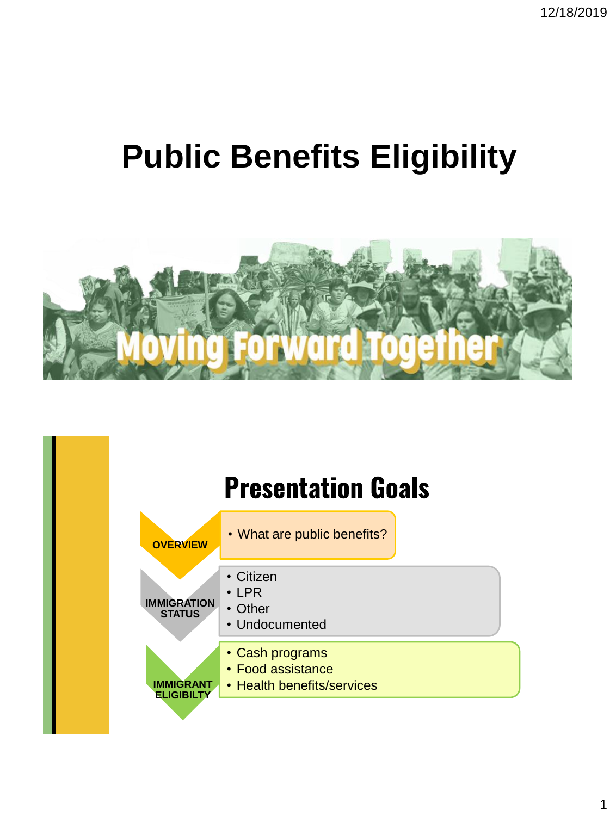# **Public Benefits Eligibility**



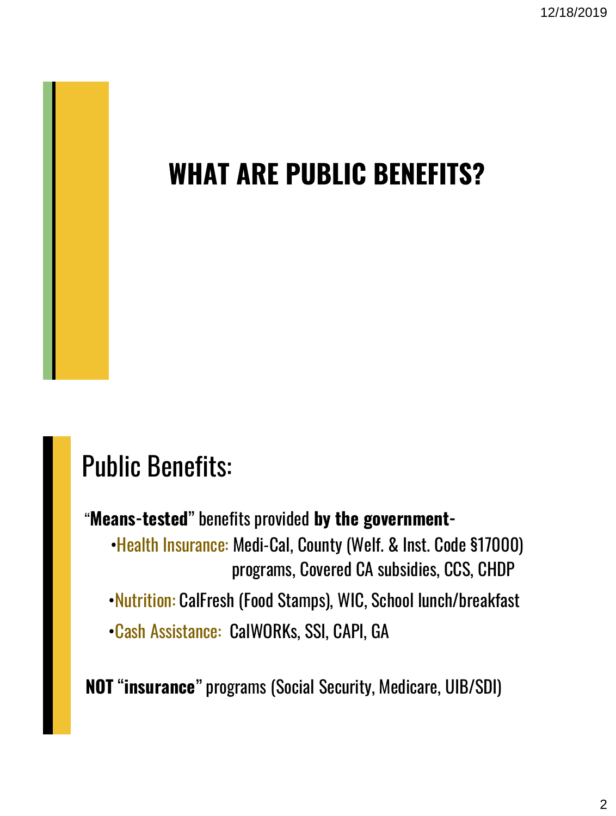12/18/2019

#### **WHAT ARE PUBLIC BENEFITS?**

### Public Benefits:

- "**Means-tested**" benefits provided **by the government-**
	- •Health Insurance: Medi-Cal, County (Welf. & Inst. Code §17000) programs, Covered CA subsidies, CCS, CHDP
	- •Nutrition: CalFresh (Food Stamps), WIC, School lunch/breakfast
	- •Cash Assistance: CalWORKs, SSI, CAPI, GA

**NOT** "**insurance**" programs (Social Security, Medicare, UIB/SDI)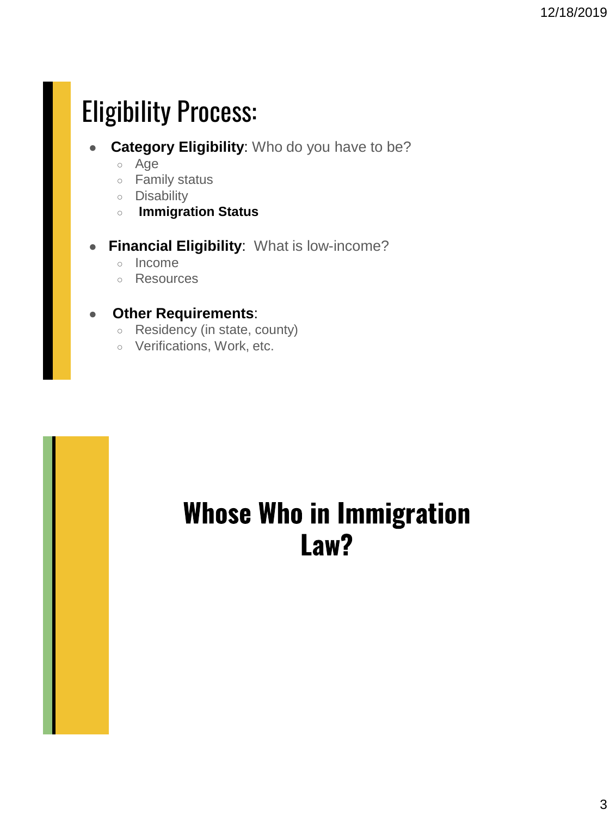## Eligibility Process:

- **Category Eligibility:** Who do you have to be?
	- Age
	- Family status
	- Disability
	- **Immigration Status**
- **Financial Eligibility**: What is low-income?
	- Income
	- Resources

#### ● **Other Requirements**:

- Residency (in state, county)
- o Verifications, Work, etc.

#### **Whose Who in Immigration** Law?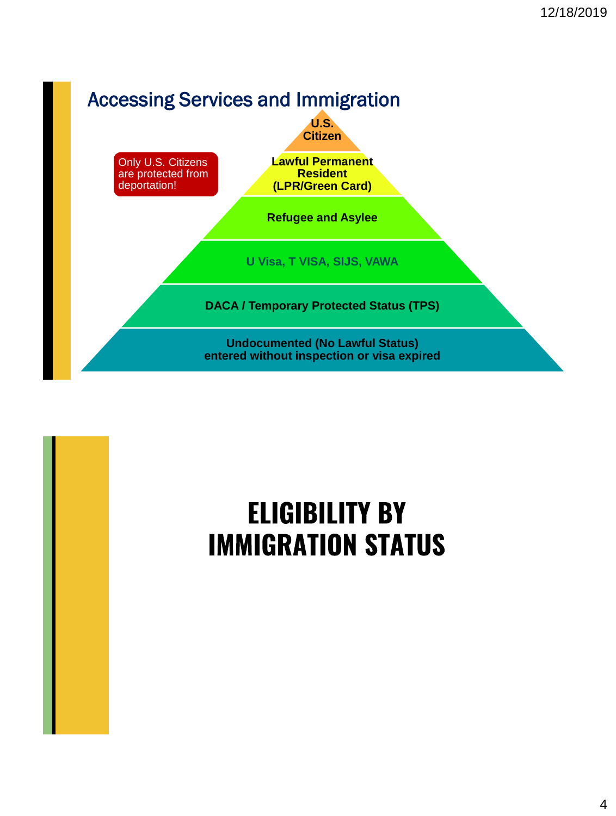

## **ELIGIBILITY BY IMMIGRATION STATUS**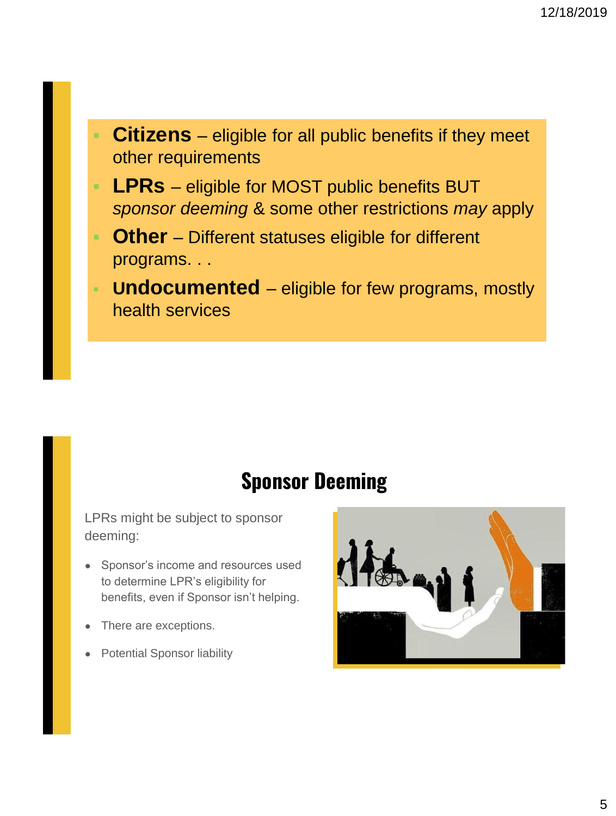- **Citizens**  eligible for all public benefits if they meet other requirements
- **LPRs** eligible for MOST public benefits BUT *sponsor deeming* & some other restrictions *may* apply
- **Other** Different statuses eligible for different programs. . .
- **Undocumented** eligible for few programs, mostly health services

#### **Sponsor Deeming**

LPRs might be subject to sponsor deeming:

- Sponsor's income and resources used to determine LPR's eligibility for benefits, even if Sponsor isn't helping.
- There are exceptions.
- **Potential Sponsor liability**

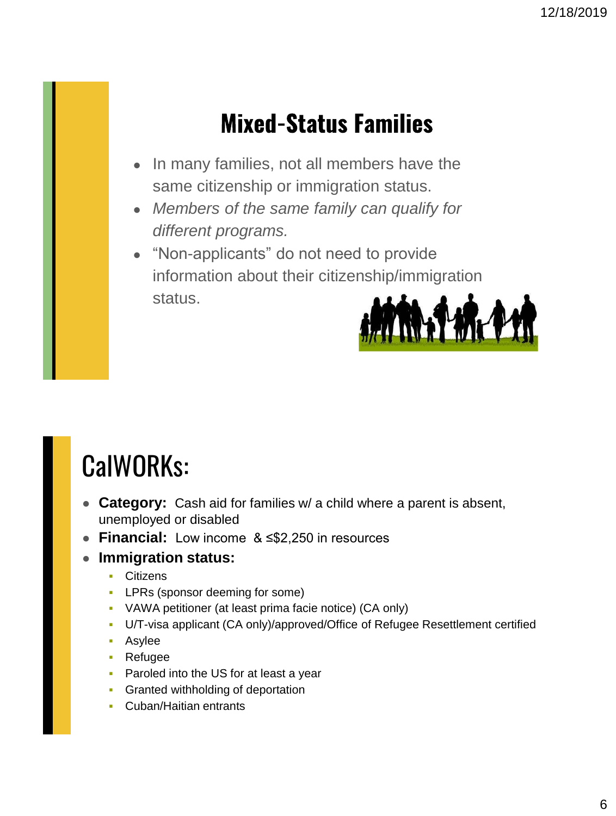#### **Mixed-Status Families**

- In many families, not all members have the same citizenship or immigration status.
- *Members of the same family can qualify for different programs.*
- "Non-applicants" do not need to provide information about their citizenship/immigration status.

![](_page_5_Picture_5.jpeg)

## CalWORKs:

- **Category:** Cash aid for families w/ a child where a parent is absent, unemployed or disabled
- **Financial:** Low income & ≤\$2,250 in resources

#### **Immigration status:**

- **Citizens**
- **LPRs (sponsor deeming for some)**
- VAWA petitioner (at least prima facie notice) (CA only)
- U/T-visa applicant (CA only)/approved/Office of Refugee Resettlement certified
- **Asylee**
- Refugee
- **Paroled into the US for at least a year**
- **Granted withholding of deportation**
- **Cuban/Haitian entrants**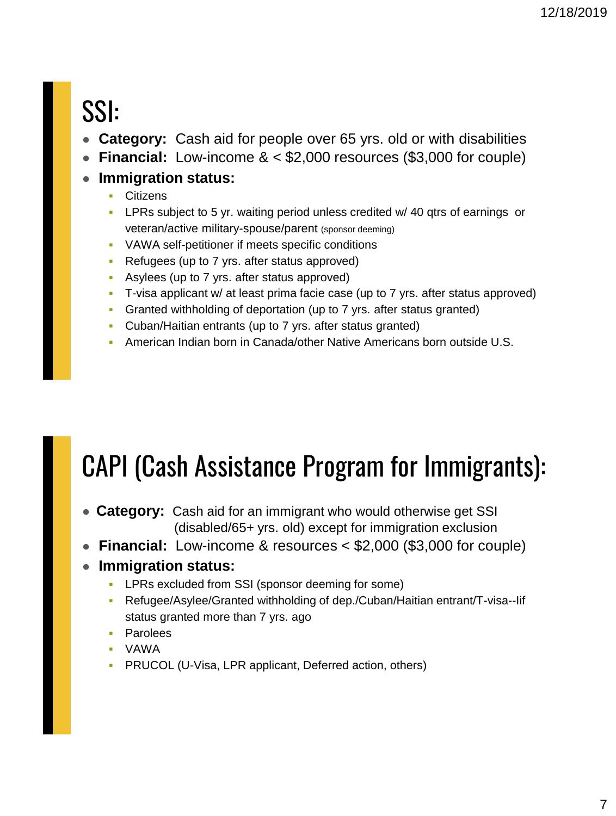## SSI:

- Category: Cash aid for people over 65 yrs. old or with disabilities
- **Financial:** Low-income & < \$2,000 resources (\$3,000 for couple)

#### ● **Immigration status:**

- **Citizens**
- LPRs subject to 5 yr. waiting period unless credited w/ 40 qtrs of earnings or veteran/active military-spouse/parent (sponsor deeming)
- VAWA self-petitioner if meets specific conditions
- **Refugees (up to 7 yrs. after status approved)**
- Asylees (up to 7 yrs. after status approved)
- T-visa applicant w/ at least prima facie case (up to 7 yrs. after status approved)
- Granted withholding of deportation (up to 7 yrs. after status granted)
- Cuban/Haitian entrants (up to 7 yrs. after status granted)
- American Indian born in Canada/other Native Americans born outside U.S.

## CAPI (Cash Assistance Program for Immigrants):

- **Category:** Cash aid for an immigrant who would otherwise get SSI (disabled/65+ yrs. old) except for immigration exclusion
- **Financial:** Low-income & resources < \$2,000 (\$3,000 for couple)

#### ● **Immigration status:**

- **LPRs excluded from SSI (sponsor deeming for some)**
- Refugee/Asylee/Granted withholding of dep./Cuban/Haitian entrant/T-visa--Iif status granted more than 7 yrs. ago
- **•** Parolees
- VAWA
- **PRUCOL (U-Visa, LPR applicant, Deferred action, others)**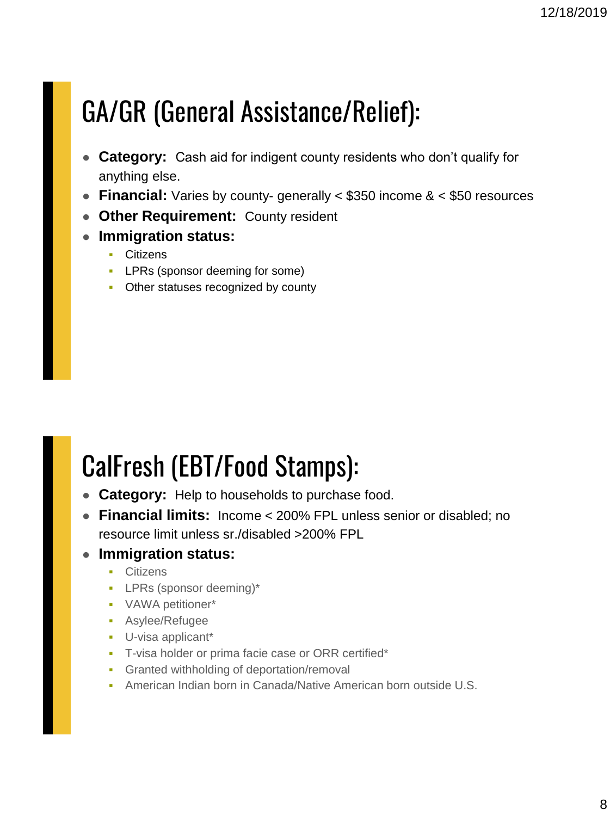## GA/GR (General Assistance/Relief):

- **Category:** Cash aid for indigent county residents who don't qualify for anything else.
- **Financial:** Varies by county- generally < \$350 income & < \$50 resources
- **Other Requirement:** County resident
- **Immigration status:** 
	- **Citizens**
	- **LPRs (sponsor deeming for some)**
	- Other statuses recognized by county

## CalFresh (EBT/Food Stamps):

- **Category:** Help to households to purchase food.
- **Financial limits:** Income < 200% FPL unless senior or disabled; no resource limit unless sr./disabled >200% FPL

#### ● **Immigration status:**

- **•** Citizens
- LPRs (sponsor deeming)\*
- VAWA petitioner\*
- Asylee/Refugee
- U-visa applicant\*
- **T-visa holder or prima facie case or ORR certified\***
- **Granted withholding of deportation/removal**
- American Indian born in Canada/Native American born outside U.S.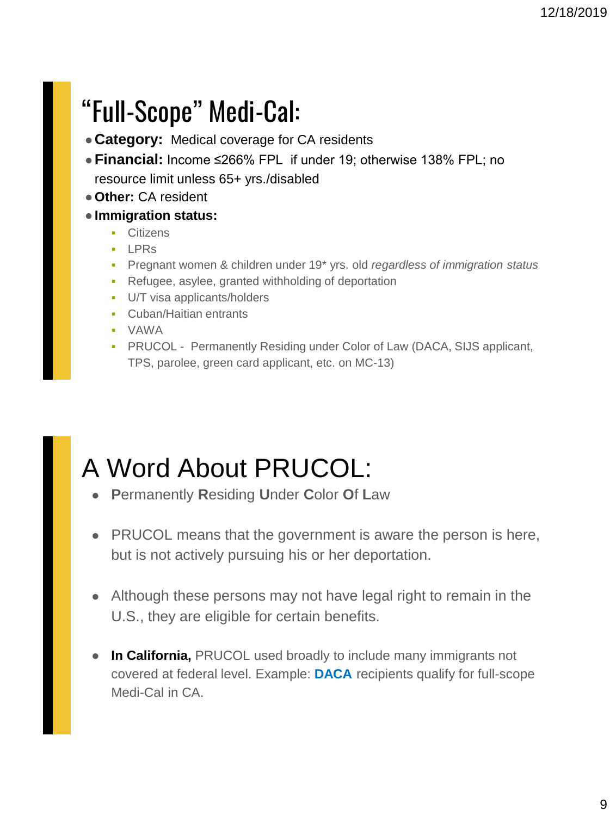## "Full-Scope" Medi-Cal:

- Category: Medical coverage for CA residents
- ●**Financial:** Income ≤266% FPL if under 19; otherwise 138% FPL; no resource limit unless 65+ yrs./disabled
- ●**Other:** CA resident
- ●**Immigration status:** 
	- **•** Citizens
	- **LPRs**
	- Pregnant women & children under 19\* yrs. old *regardless of immigration status*
	- Refugee, asylee, granted withholding of deportation
	- U/T visa applicants/holders
	- Cuban/Haitian entrants
	- VAWA
	- PRUCOL Permanently Residing under Color of Law (DACA, SIJS applicant, TPS, parolee, green card applicant, etc. on MC-13)

### A Word About PRUCOL:

- **P**ermanently **R**esiding **U**nder **C**olor **O**f **L**aw
- PRUCOL means that the government is aware the person is here, but is not actively pursuing his or her deportation.
- Although these persons may not have legal right to remain in the U.S., they are eligible for certain benefits.
- **In California,** PRUCOL used broadly to include many immigrants not covered at federal level. Example: **DACA** recipients qualify for full-scope Medi-Cal in CA.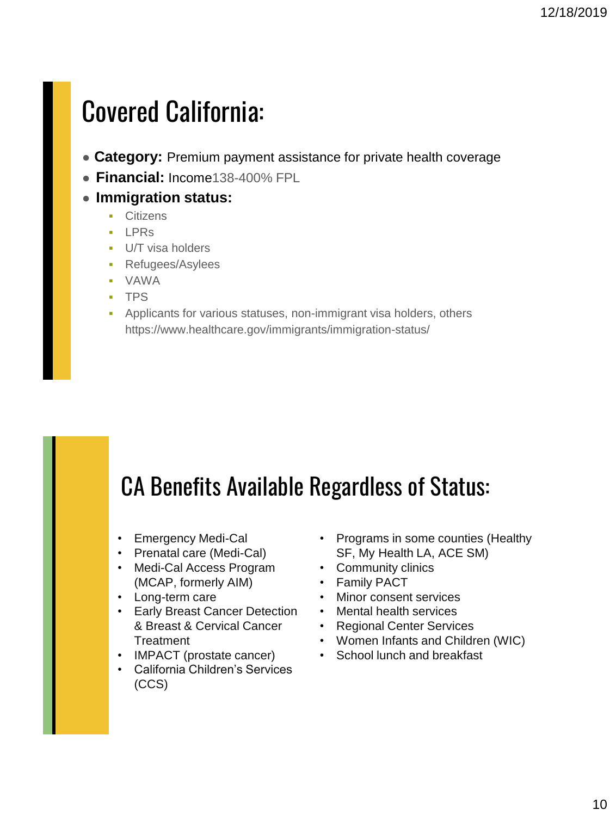### Covered California:

- Category: Premium payment assistance for private health coverage
- **Financial:** Income138-400% FPL
- **Immigration status:** 
	- **•** Citizens
	- **LPRs**
	- **U/T** visa holders
	- Refugees/Asylees
	- VAWA
	- TPS
	- Applicants for various statuses, non-immigrant visa holders, others https://www.healthcare.gov/immigrants/immigration-status/

#### CA Benefits Available Regardless of Status:

- Emergency Medi-Cal
- Prenatal care (Medi-Cal)
- Medi-Cal Access Program (MCAP, formerly AIM)
- Long-term care
- Early Breast Cancer Detection & Breast & Cervical Cancer **Treatment**
- IMPACT (prostate cancer)
- California Children's Services (CCS)
- Programs in some counties (Healthy SF, My Health LA, ACE SM)
- Community clinics
- Family PACT
- Minor consent services
- Mental health services
- Regional Center Services
- Women Infants and Children (WIC)
- School lunch and breakfast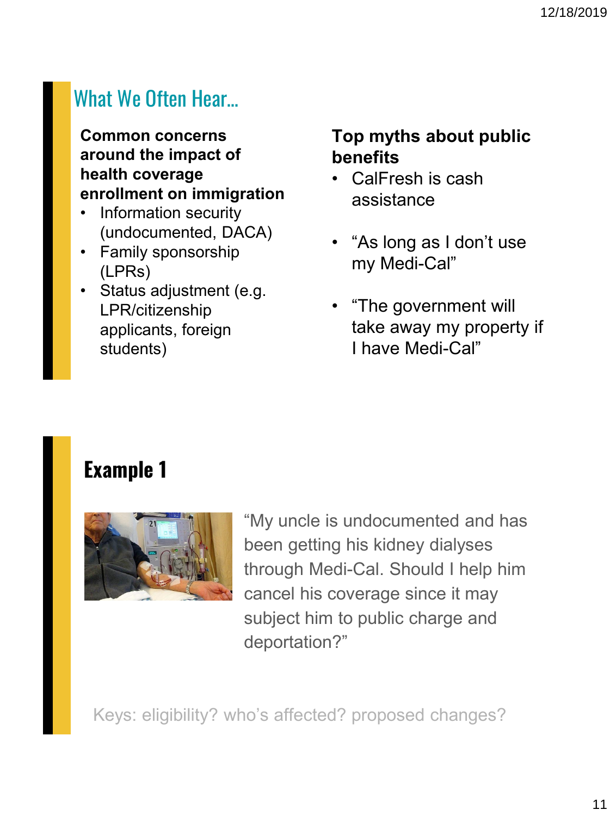#### What We Often Hear…

**Common concerns around the impact of health coverage enrollment on immigration**

- Information security (undocumented, DACA)
- Family sponsorship (LPRs)
- Status adjustment (e.g. LPR/citizenship applicants, foreign students)

#### **Top myths about public benefits**

- CalFresh is cash assistance
- "As long as I don't use my Medi-Cal"
- "The government will take away my property if I have Medi-Cal"

#### **Example 1**

![](_page_10_Picture_11.jpeg)

"My uncle is undocumented and has been getting his kidney dialyses through Medi-Cal. Should I help him cancel his coverage since it may subject him to public charge and deportation?"

Keys: eligibility? who's affected? proposed changes?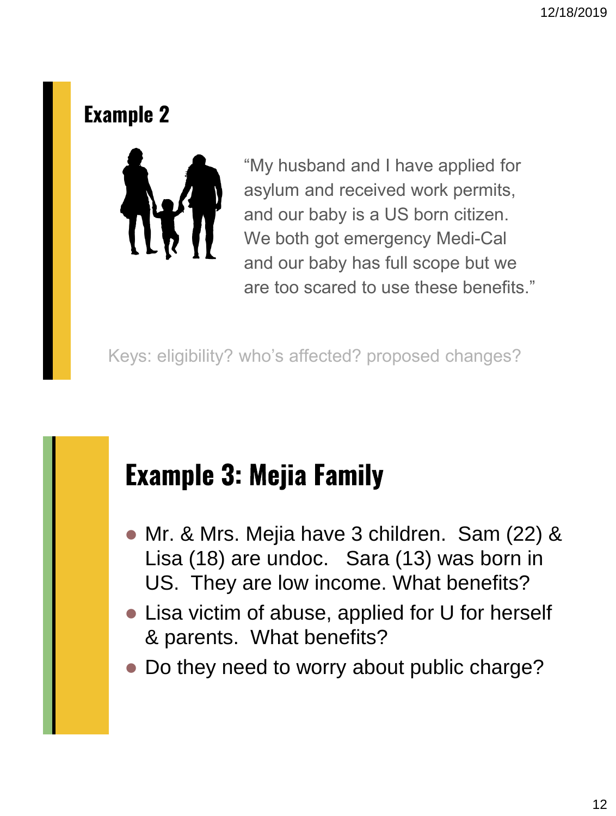#### **Example 2**

![](_page_11_Picture_2.jpeg)

"My husband and I have applied for asylum and received work permits, and our baby is a US born citizen. We both got emergency Medi-Cal and our baby has full scope but we are too scared to use these benefits."

Keys: eligibility? who's affected? proposed changes?

### **Example 3: Mejia Family**

- Mr. & Mrs. Mejia have 3 children. Sam (22) & Lisa (18) are undoc. Sara (13) was born in US. They are low income. What benefits?
- Lisa victim of abuse, applied for U for herself & parents. What benefits?
- Do they need to worry about public charge?